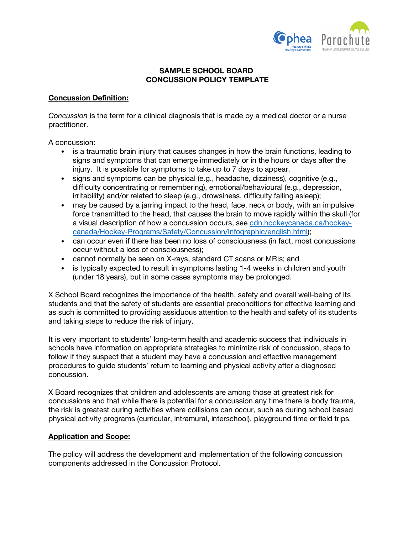

# **SAMPLE SCHOOL BOARD CONCUSSION POLICY TEMPLATE**

# **Concussion Definition:**

*Concussion* is the term for a clinical diagnosis that is made by a medical doctor or a nurse practitioner.

A concussion:

- is a traumatic brain injury that causes changes in how the brain functions, leading to signs and symptoms that can emerge immediately or in the hours or days after the injury. It is possible for symptoms to take up to 7 days to appear.
- signs and symptoms can be physical (e.g., headache, dizziness), cognitive (e.g., difficulty concentrating or remembering), emotional/behavioural (e.g., depression, irritability) and/or related to sleep (e.g., drowsiness, difficulty falling asleep);
- may be caused by a jarring impact to the head, face, neck or body, with an impulsive force transmitted to the head, that causes the brain to move rapidly within the skull (for a visual description of how a concussion occurs, see cdn.hockeycanada.ca/hockeycanada/Hockey-Programs/Safety/Concussion/Infographic/english.html);
- can occur even if there has been no loss of consciousness (in fact, most concussions occur without a loss of consciousness);
- cannot normally be seen on X-rays, standard CT scans or MRIs; and
- is typically expected to result in symptoms lasting 1-4 weeks in children and youth (under 18 years), but in some cases symptoms may be prolonged.

X School Board recognizes the importance of the health, safety and overall well-being of its students and that the safety of students are essential preconditions for effective learning and as such is committed to providing assiduous attention to the health and safety of its students and taking steps to reduce the risk of injury.

It is very important to students' long-term health and academic success that individuals in schools have information on appropriate strategies to minimize risk of concussion, steps to follow if they suspect that a student may have a concussion and effective management procedures to guide students' return to learning and physical activity after a diagnosed concussion.

X Board recognizes that children and adolescents are among those at greatest risk for concussions and that while there is potential for a concussion any time there is body trauma, the risk is greatest during activities where collisions can occur, such as during school based physical activity programs (curricular, intramural, interschool), playground time or field trips.

# **Application and Scope:**

The policy will address the development and implementation of the following concussion components addressed in the Concussion Protocol.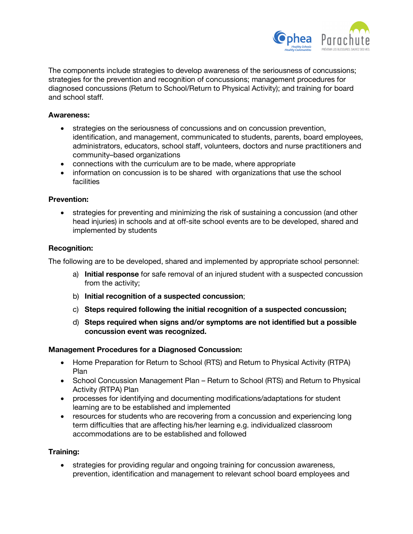

The components include strategies to develop awareness of the seriousness of concussions; strategies for the prevention and recognition of concussions; management procedures for diagnosed concussions (Return to School/Return to Physical Activity); and training for board and school staff.

### **Awareness:**

- strategies on the seriousness of concussions and on concussion prevention, identification, and management, communicated to students, parents, board employees, administrators, educators, school staff, volunteers, doctors and nurse practitioners and community–based organizations
- connections with the curriculum are to be made, where appropriate
- information on concussion is to be shared with organizations that use the school facilities

### **Prevention:**

• strategies for preventing and minimizing the risk of sustaining a concussion (and other head injuries) in schools and at off-site school events are to be developed, shared and implemented by students

### **Recognition:**

The following are to be developed, shared and implemented by appropriate school personnel:

- a) **Initial response** for safe removal of an injured student with a suspected concussion from the activity;
- b) **Initial recognition of a suspected concussion**;
- c) **Steps required following the initial recognition of a suspected concussion;**
- d) **Steps required when signs and/or symptoms are not identified but a possible concussion event was recognized.**

#### **Management Procedures for a Diagnosed Concussion:**

- Home Preparation for Return to School (RTS) and Return to Physical Activity (RTPA) Plan
- School Concussion Management Plan Return to School (RTS) and Return to Physical Activity (RTPA) Plan
- processes for identifying and documenting modifications/adaptations for student learning are to be established and implemented
- resources for students who are recovering from a concussion and experiencing long term difficulties that are affecting his/her learning e.g. individualized classroom accommodations are to be established and followed

#### **Training:**

• strategies for providing regular and ongoing training for concussion awareness, prevention, identification and management to relevant school board employees and